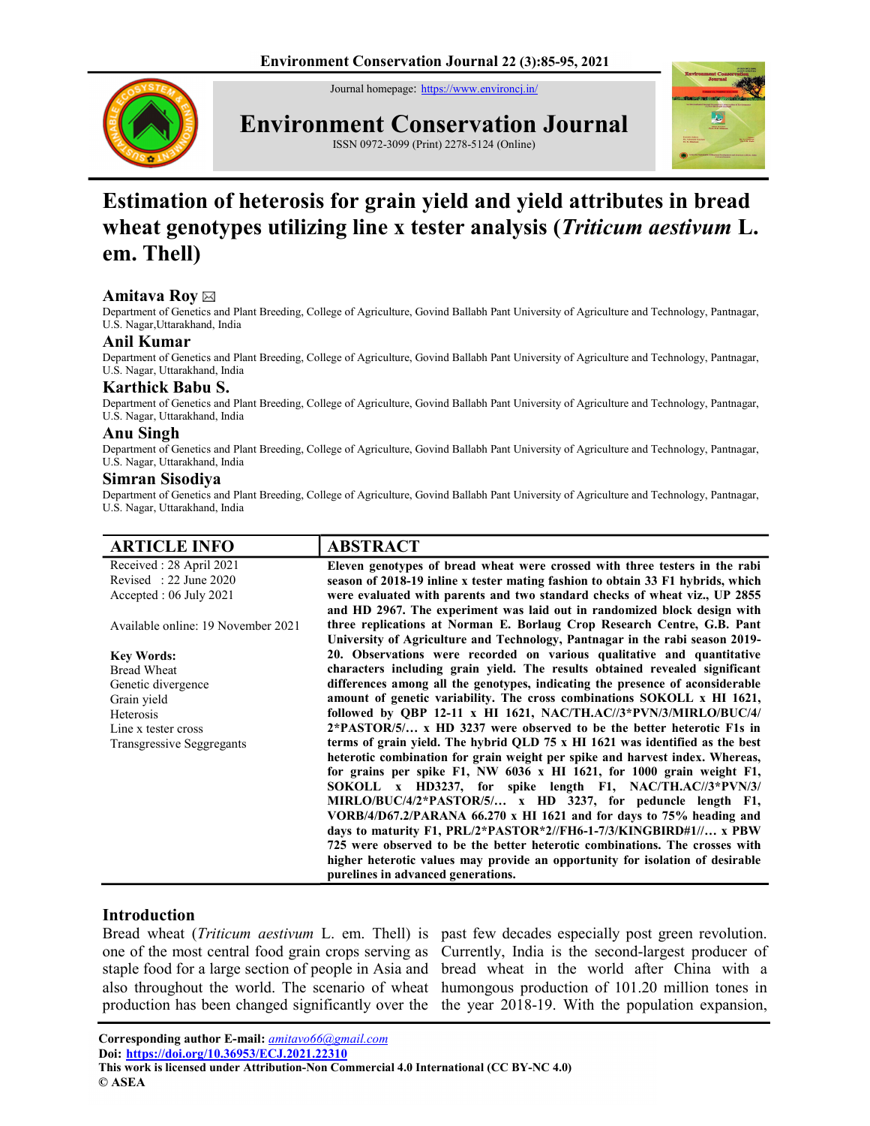Journal homepage: https://www.environcj.in/



Environment Conservation Journal



ISSN 0972-3099 (Print) 2278-5124 (Online)

# Estimation of heterosis for grain yield and yield attributes in bread wheat genotypes utilizing line x tester analysis (*Triticum aestivum L*. em. Thell)

### Amitava Roy ⊠

Department of Genetics and Plant Breeding, College of Agriculture, Govind Ballabh Pant University of Agriculture and Technology, Pantnagar, U.S. Nagar,Uttarakhand, India

# Anil Kumar

Department of Genetics and Plant Breeding, College of Agriculture, Govind Ballabh Pant University of Agriculture and Technology, Pantnagar, U.S. Nagar, Uttarakhand, India

# Karthick Babu S.

Department of Genetics and Plant Breeding, College of Agriculture, Govind Ballabh Pant University of Agriculture and Technology, Pantnagar, U.S. Nagar, Uttarakhand, India

### Anu Singh

Department of Genetics and Plant Breeding, College of Agriculture, Govind Ballabh Pant University of Agriculture and Technology, Pantnagar, U.S. Nagar, Uttarakhand, India

### Simran Sisodiya

Department of Genetics and Plant Breeding, College of Agriculture, Govind Ballabh Pant University of Agriculture and Technology, Pantnagar, U.S. Nagar, Uttarakhand, India

| <b>ARTICLE INFO</b>                | <b>ABSTRACT</b>                                                                 |
|------------------------------------|---------------------------------------------------------------------------------|
| Received: 28 April 2021            | Eleven genotypes of bread wheat were crossed with three testers in the rabi     |
| Revised : $22$ June $2020$         | season of 2018-19 inline x tester mating fashion to obtain 33 F1 hybrids, which |
| Accepted: 06 July 2021             | were evaluated with parents and two standard checks of wheat viz., UP 2855      |
|                                    | and HD 2967. The experiment was laid out in randomized block design with        |
| Available online: 19 November 2021 | three replications at Norman E. Borlaug Crop Research Centre, G.B. Pant         |
|                                    | University of Agriculture and Technology, Pantnagar in the rabi season 2019-    |
| <b>Key Words:</b>                  | 20. Observations were recorded on various qualitative and quantitative          |
| <b>Bread Wheat</b>                 | characters including grain yield. The results obtained revealed significant     |
| Genetic divergence                 | differences among all the genotypes, indicating the presence of aconsiderable   |
| Grain yield                        | amount of genetic variability. The cross combinations SOKOLL x HI 1621,         |
| Heterosis                          | followed by OBP 12-11 x HI 1621, NAC/TH.AC//3*PVN/3/MIRLO/BUC/4/                |
| Line x tester cross                | $2*PASTOR/5/$ x HD 3237 were observed to be the better heterotic F1s in         |
| Transgressive Seggregants          | terms of grain yield. The hybrid QLD 75 x HI 1621 was identified as the best    |
|                                    | heterotic combination for grain weight per spike and harvest index. Whereas,    |
|                                    | for grains per spike F1, NW 6036 x HI 1621, for 1000 grain weight F1,           |
|                                    | SOKOLL x HD3237, for spike length F1, NAC/TH.AC//3*PVN/3/                       |
|                                    | MIRLO/BUC/4/2*PASTOR/5/ x HD 3237, for peduncle length F1,                      |
|                                    | VORB/4/D67.2/PARANA 66.270 x HI 1621 and for days to $75%$ heading and          |
|                                    | days to maturity F1, PRL/2*PASTOR*2//FH6-1-7/3/KINGBIRD#1// x PBW               |
|                                    | 725 were observed to be the better heterotic combinations. The crosses with     |
|                                    | higher heterotic values may provide an opportunity for isolation of desirable   |
|                                    | purelines in advanced generations.                                              |

### Introduction

Bread wheat (Triticum aestivum L. em. Thell) is past few decades especially post green revolution.

one of the most central food grain crops serving as Currently, India is the second-largest producer of staple food for a large section of people in Asia and bread wheat in the world after China with a also throughout the world. The scenario of wheat humongous production of 101.20 million tones in production has been changed significantly over the the year 2018-19. With the population expansion,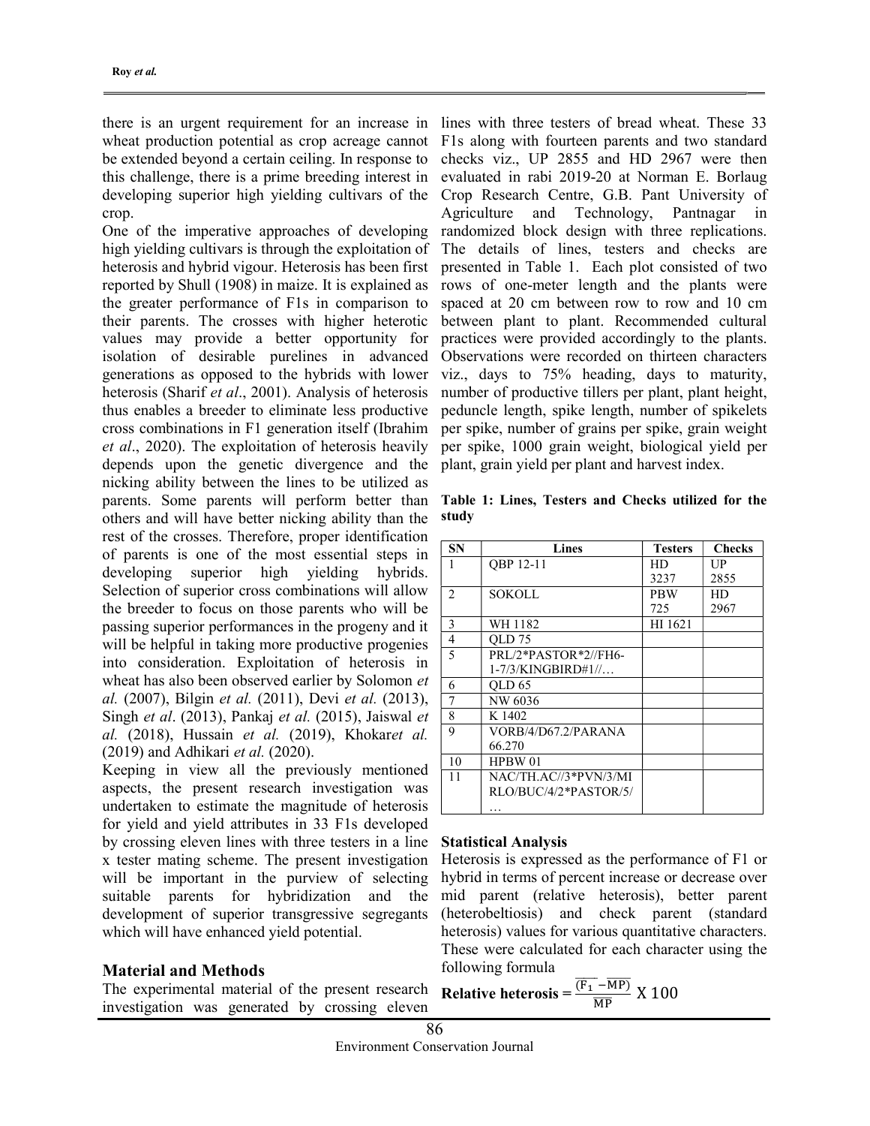there is an urgent requirement for an increase in wheat production potential as crop acreage cannot be extended beyond a certain ceiling. In response to this challenge, there is a prime breeding interest in developing superior high yielding cultivars of the crop.

One of the imperative approaches of developing high yielding cultivars is through the exploitation of heterosis and hybrid vigour. Heterosis has been first reported by Shull (1908) in maize. It is explained as the greater performance of F1s in comparison to their parents. The crosses with higher heterotic values may provide a better opportunity for isolation of desirable purelines in advanced generations as opposed to the hybrids with lower heterosis (Sharif et al., 2001). Analysis of heterosis thus enables a breeder to eliminate less productive cross combinations in F1 generation itself (Ibrahim et al., 2020). The exploitation of heterosis heavily depends upon the genetic divergence and the nicking ability between the lines to be utilized as parents. Some parents will perform better than others and will have better nicking ability than the rest of the crosses. Therefore, proper identification of parents is one of the most essential steps in developing superior high yielding hybrids. Selection of superior cross combinations will allow the breeder to focus on those parents who will be passing superior performances in the progeny and it will be helpful in taking more productive progenies into consideration. Exploitation of heterosis in wheat has also been observed earlier by Solomon et al. (2007), Bilgin et al. (2011), Devi et al. (2013), Singh et al. (2013), Pankaj et al. (2015), Jaiswal et al. (2018), Hussain et al. (2019), Khokaret al. (2019) and Adhikari et al. (2020).

Keeping in view all the previously mentioned aspects, the present research investigation was undertaken to estimate the magnitude of heterosis for yield and yield attributes in 33 F1s developed by crossing eleven lines with three testers in a line x tester mating scheme. The present investigation will be important in the purview of selecting suitable parents for hybridization and the development of superior transgressive segregants which will have enhanced yield potential.

### Material and Methods

The experimental material of the present research investigation was generated by crossing eleven

lines with three testers of bread wheat. These 33 F1s along with fourteen parents and two standard checks viz., UP 2855 and HD 2967 were then evaluated in rabi 2019-20 at Norman E. Borlaug Crop Research Centre, G.B. Pant University of Agriculture and Technology, Pantnagar in randomized block design with three replications. The details of lines, testers and checks are presented in Table 1. Each plot consisted of two rows of one-meter length and the plants were spaced at 20 cm between row to row and 10 cm between plant to plant. Recommended cultural practices were provided accordingly to the plants. Observations were recorded on thirteen characters viz., days to 75% heading, days to maturity, number of productive tillers per plant, plant height, peduncle length, spike length, number of spikelets per spike, number of grains per spike, grain weight per spike, 1000 grain weight, biological yield per plant, grain yield per plant and harvest index.

| <b>SN</b>      | Lines                 | <b>Testers</b> | <b>Checks</b> |
|----------------|-----------------------|----------------|---------------|
|                | OBP 12-11             | HD             | UP            |
|                |                       | 3237           | 2855          |
| $\overline{c}$ | SOKOLL                | <b>PBW</b>     | HD            |
|                |                       | 725            | 2967          |
| 3              | WH 1182               | HI 1621        |               |
| 4              | OLD 75                |                |               |
| 5              | PRL/2*PASTOR*2//FH6-  |                |               |
|                | $1-7/3$ /KINGBIRD#1// |                |               |
| 6              | OLD 65                |                |               |
| 7              | NW 6036               |                |               |
| 8              | K 1402                |                |               |
| 9              | VORB/4/D67.2/PARANA   |                |               |
|                | 66.270                |                |               |
| 10             | HPBW 01               |                |               |
| 11             | NAC/TH.AC//3*PVN/3/MI |                |               |
|                | RLO/BUC/4/2*PASTOR/5/ |                |               |
|                | .                     |                |               |

Table 1: Lines, Testers and Checks utilized for the study

#### Statistical Analysis

Heterosis is expressed as the performance of F1 or hybrid in terms of percent increase or decrease over mid parent (relative heterosis), better parent (heterobeltiosis) and check parent (standard heterosis) values for various quantitative characters. These were calculated for each character using the following formula

Relative heterosis = 
$$
\frac{\overline{(F_1 - MP)}}{\overline{MP}}
$$
 X 100

86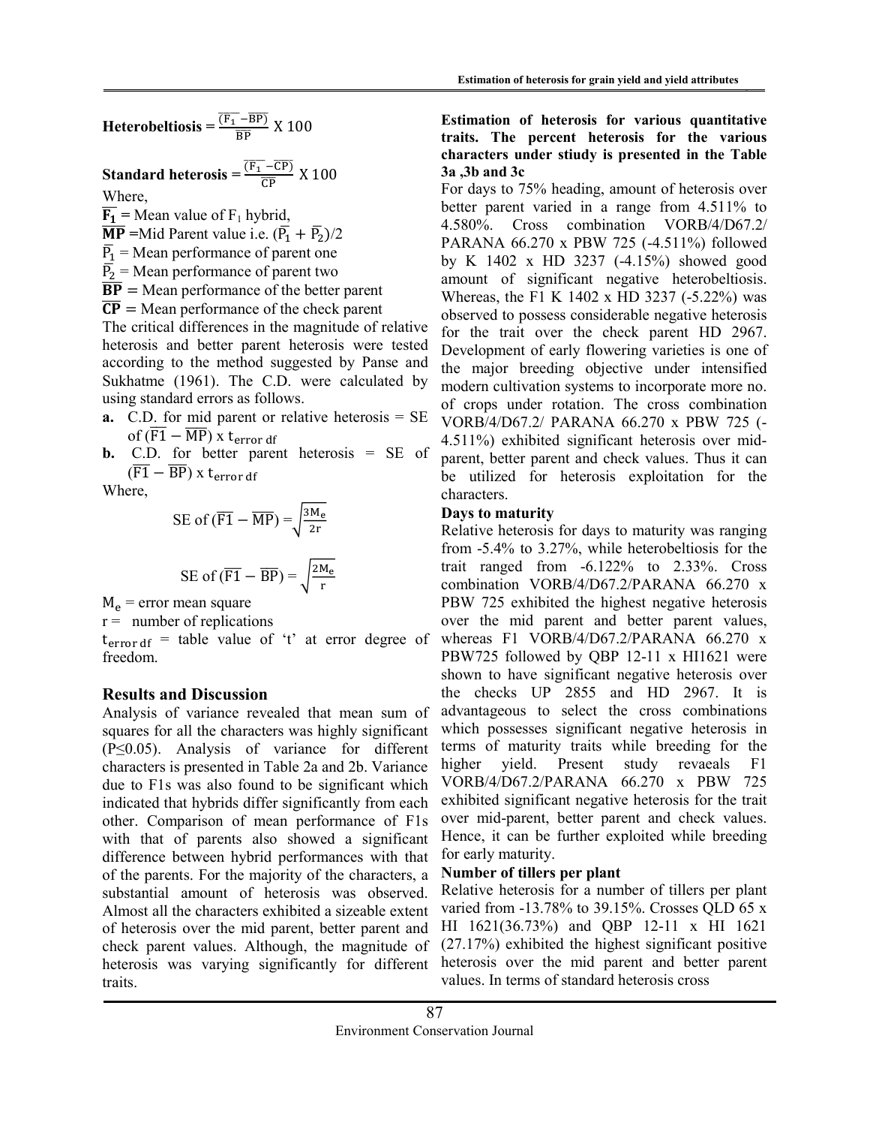Standard heterosis = 
$$
\frac{\overline{(F_1 - \overline{CP})}}{\overline{CP}}
$$
 X 100

Where,

 $\overline{F_1}$  = Mean value of F<sub>1</sub> hybrid,  $\overline{\mathbf{MP}}$  =Mid Parent value i.e.  $(\overline{P}_1 + \overline{P}_2)/2$ 

 $\overline{P_1}$  = Mean performance of parent one

 $\overline{P_2}$  = Mean performance of parent two

 $\overline{BP}$  = Mean performance of the better parent

 $\overline{CP}$  = Mean performance of the check parent

The critical differences in the magnitude of relative heterosis and better parent heterosis were tested according to the method suggested by Panse and Sukhatme (1961). The C.D. were calculated by using standard errors as follows.

**a.** C.D. for mid parent or relative heterosis  $=$  SE of  $(\overline{F1} - \overline{MP})$  x t<sub>error df</sub>

**b.** C.D. for better parent heterosis = SE of  $(\overline{F1} - \overline{BP})$  x t<sub>error df</sub>

Where,

SE of 
$$
(\overline{F1} - \overline{MP}) = \sqrt{\frac{3M_e}{2r}}
$$
  
SE of  $(\overline{F1} - \overline{BP}) = \sqrt{\frac{2M_e}{r}}$ 

 $M_e$  = error mean square

 $r =$  number of replications

freedom.

# Results and Discussion

Analysis of variance revealed that mean sum of squares for all the characters was highly significant (P≤0.05). Analysis of variance for different characters is presented in Table 2a and 2b. Variance due to F1s was also found to be significant which indicated that hybrids differ significantly from each other. Comparison of mean performance of F1s with that of parents also showed a significant difference between hybrid performances with that of the parents. For the majority of the characters, a substantial amount of heterosis was observed. Almost all the characters exhibited a sizeable extent of heterosis over the mid parent, better parent and check parent values. Although, the magnitude of heterosis was varying significantly for different traits.

### Estimation of heterosis for various quantitative traits. The percent heterosis for the various characters under stiudy is presented in the Table 3a ,3b and 3c

For days to 75% heading, amount of heterosis over better parent varied in a range from 4.511% to 4.580%. Cross combination VORB/4/D67.2/ PARANA 66.270 x PBW 725 (-4.511%) followed by K 1402 x HD 3237 (-4.15%) showed good amount of significant negative heterobeltiosis. Whereas, the F1 K 1402 x HD 3237 (-5.22%) was observed to possess considerable negative heterosis for the trait over the check parent HD 2967. Development of early flowering varieties is one of the major breeding objective under intensified modern cultivation systems to incorporate more no. of crops under rotation. The cross combination VORB/4/D67.2/ PARANA 66.270 x PBW 725 (- 4.511%) exhibited significant heterosis over midparent, better parent and check values. Thus it can be utilized for heterosis exploitation for the characters.

### Days to maturity

 $t_{error df}$  = table value of 't' at error degree of whereas F1 VORB/4/D67.2/PARANA 66.270 x Relative heterosis for days to maturity was ranging from -5.4% to 3.27%, while heterobeltiosis for the trait ranged from -6.122% to 2.33%. Cross combination VORB/4/D67.2/PARANA 66.270 x PBW 725 exhibited the highest negative heterosis over the mid parent and better parent values, PBW725 followed by QBP 12-11 x HI1621 were shown to have significant negative heterosis over the checks UP 2855 and HD 2967. It is advantageous to select the cross combinations which possesses significant negative heterosis in terms of maturity traits while breeding for the higher yield. Present study revaeals F1 VORB/4/D67.2/PARANA 66.270 x PBW 725 exhibited significant negative heterosis for the trait over mid-parent, better parent and check values. Hence, it can be further exploited while breeding for early maturity.

### Number of tillers per plant

Relative heterosis for a number of tillers per plant varied from -13.78% to 39.15%. Crosses QLD 65 x HI 1621(36.73%) and QBP 12-11 x HI 1621 (27.17%) exhibited the highest significant positive heterosis over the mid parent and better parent values. In terms of standard heterosis cross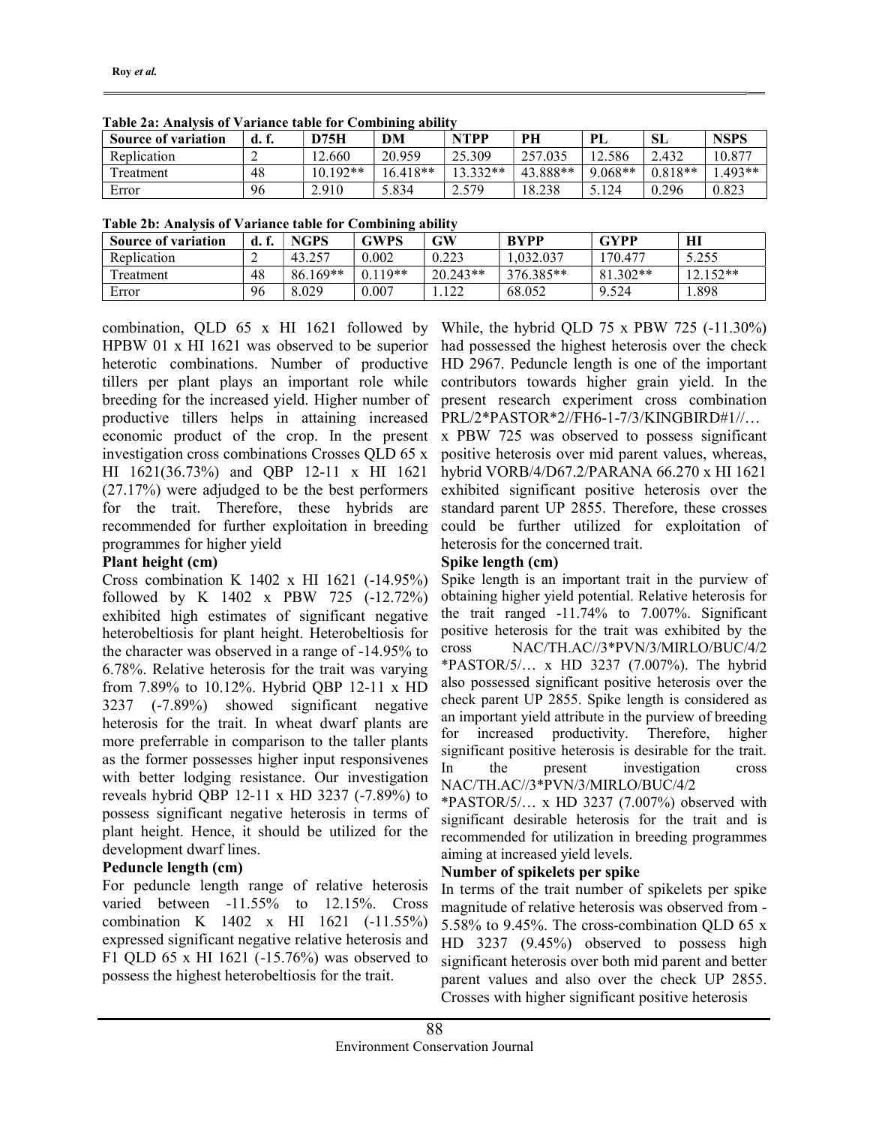| <b>Source of variation</b> |    | <b>D75H</b> | DM         | <b>NTPP</b> | PH       | PL        | <b>SL</b> | <b>NSPS</b> |
|----------------------------|----|-------------|------------|-------------|----------|-----------|-----------|-------------|
| Replication                | -  | 12.660      | 20.959     | 25.309      | 257.035  | 2.586     | 2.432     | 10.877      |
| Treatment                  | 48 | $10.192**$  | $16.418**$ | $13.332**$  | 43.888** | $9.068**$ | $0.818**$ | $.493**$    |
| Error                      | 96 | 2.910       | 5.834      | 2.579       | 8.238    | 3.124     | 0.296     | 0.823       |

Table 2a: Analysis of Variance table for Combining ability

|  | Table 2b: Analysis of Variance table for Combining ability |  |  |
|--|------------------------------------------------------------|--|--|
|  |                                                            |  |  |

| <b>Source of variation</b> |    | <b>NGPS</b> | GWPS      | GW         | <b>BYPP</b> | <b>GYPP</b> | HI         |
|----------------------------|----|-------------|-----------|------------|-------------|-------------|------------|
| Replication                |    | 43.257      | 0.002     | 0.223      | 1.032.037   | 170.477     | 5.255      |
| Treatment                  | 48 | $86.169**$  | $0.119**$ | $20.243**$ | 376.385**   | 81.302**    | $12.152**$ |
| Error                      | 96 | 8.029       | 0.007     | .122       | 68.052      | 9.524       | 1.898      |

combination, QLD 65 x HI 1621 followed by HPBW 01 x HI 1621 was observed to be superior heterotic combinations. Number of productive tillers per plant plays an important role while breeding for the increased yield. Higher number of productive tillers helps in attaining increased economic product of the crop. In the present investigation cross combinations Crosses QLD 65 x HI 1621(36.73%) and QBP 12-11 x HI 1621 (27.17%) were adjudged to be the best performers for the trait. Therefore, these hybrids are recommended for further exploitation in breeding programmes for higher yield

### Plant height (cm)

Cross combination K 1402 x HI 1621 (-14.95%) followed by K 1402 x PBW 725 (-12.72%) exhibited high estimates of significant negative heterobeltiosis for plant height. Heterobeltiosis for the character was observed in a range of -14.95% to 6.78%. Relative heterosis for the trait was varying from 7.89% to 10.12%. Hybrid QBP 12-11 x HD 3237 (-7.89%) showed significant negative heterosis for the trait. In wheat dwarf plants are more preferrable in comparison to the taller plants as the former possesses higher input responsivenes with better lodging resistance. Our investigation reveals hybrid QBP 12-11 x HD 3237 (-7.89%) to possess significant negative heterosis in terms of plant height. Hence, it should be utilized for the development dwarf lines.

# Peduncle length (cm)

For peduncle length range of relative heterosis varied between -11.55% to 12.15%. Cross combination K 1402 x HI 1621 (-11.55%) expressed significant negative relative heterosis and F1 QLD 65 x HI 1621 (-15.76%) was observed to possess the highest heterobeltiosis for the trait.

While, the hybrid QLD 75 x PBW 725 (-11.30%) had possessed the highest heterosis over the check HD 2967. Peduncle length is one of the important contributors towards higher grain yield. In the present research experiment cross combination PRL/2\*PASTOR\*2//FH6-1-7/3/KINGBIRD#1//…

x PBW 725 was observed to possess significant positive heterosis over mid parent values, whereas, hybrid VORB/4/D67.2/PARANA 66.270 x HI 1621 exhibited significant positive heterosis over the standard parent UP 2855. Therefore, these crosses could be further utilized for exploitation of heterosis for the concerned trait.

### Spike length (cm)

Spike length is an important trait in the purview of obtaining higher yield potential. Relative heterosis for the trait ranged -11.74% to 7.007%. Significant positive heterosis for the trait was exhibited by the cross NAC/TH.AC//3\*PVN/3/MIRLO/BUC/4/2 \*PASTOR/5/… x HD 3237 (7.007%). The hybrid also possessed significant positive heterosis over the check parent UP 2855. Spike length is considered as an important yield attribute in the purview of breeding for increased productivity. Therefore, higher significant positive heterosis is desirable for the trait. In the present investigation cross NAC/TH.AC//3\*PVN/3/MIRLO/BUC/4/2

\*PASTOR/5/… x HD 3237 (7.007%) observed with significant desirable heterosis for the trait and is recommended for utilization in breeding programmes aiming at increased yield levels.

# Number of spikelets per spike

In terms of the trait number of spikelets per spike magnitude of relative heterosis was observed from - 5.58% to 9.45%. The cross-combination QLD 65 x HD 3237 (9.45%) observed to possess high significant heterosis over both mid parent and better parent values and also over the check UP 2855. Crosses with higher significant positive heterosis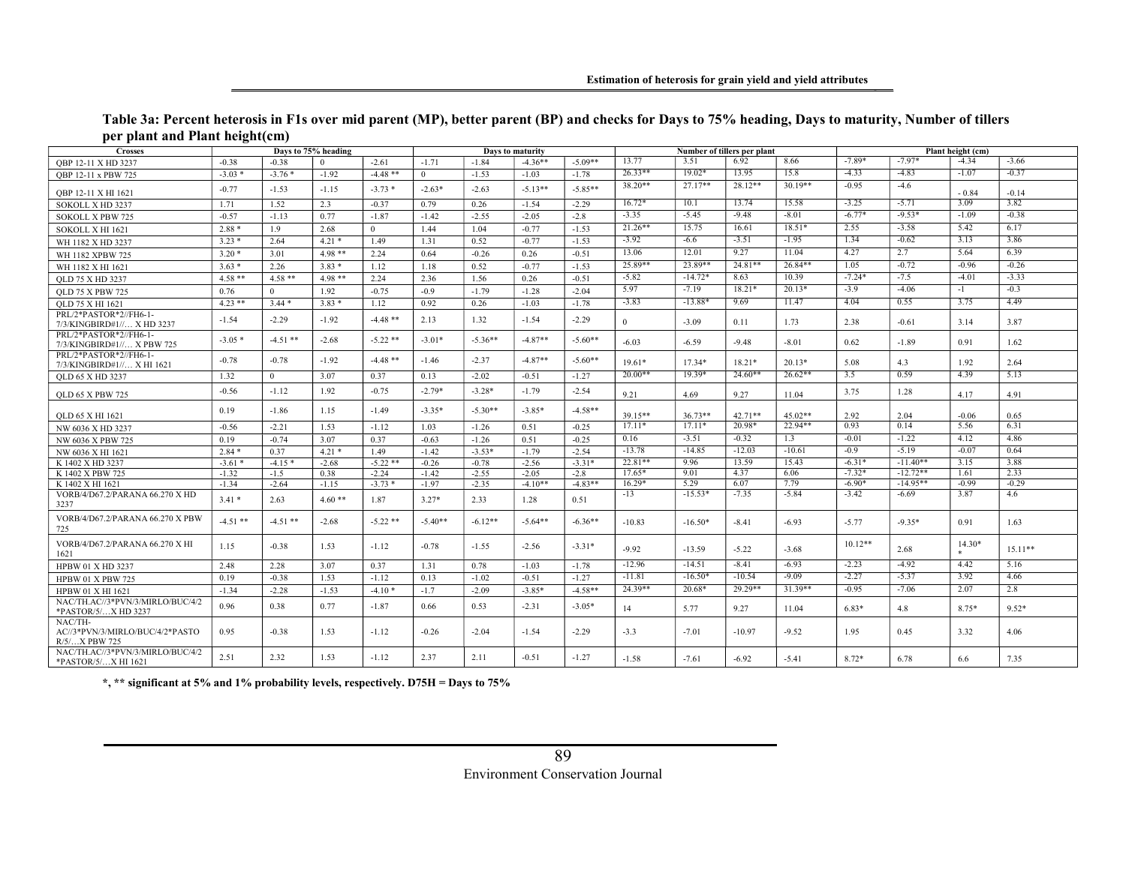| Table 3a: Percent heterosis in F1s over mid parent (MP), better parent (BP) and checks for Days to 75% heading, Days to maturity, Number of tillers |  |  |
|-----------------------------------------------------------------------------------------------------------------------------------------------------|--|--|
| per plant and Plant height(cm)                                                                                                                      |  |  |

| . .<br><b>Crosses</b>                                       | $\circ$   | $\sim$         | Days to 75% heading |            |                |           | Days to maturity |           |                   |                   | Number of tillers per plant |                 | Plant height (cm)   |                       |                 |                |  |
|-------------------------------------------------------------|-----------|----------------|---------------------|------------|----------------|-----------|------------------|-----------|-------------------|-------------------|-----------------------------|-----------------|---------------------|-----------------------|-----------------|----------------|--|
| OBP 12-11 X HD 3237                                         | $-0.38$   | $-0.38$        |                     | $-2.61$    | $-1.71$        | $-1.84$   | $-4.36**$        | $-5.09**$ | 13.77             | 3.51              | 6.92                        | 8.66            | $-7.89*$            | $-7.97*$              | $-4.34$         | $-3.66$        |  |
| OBP 12-11 x PBW 725                                         | $-3.03*$  | $-3.76*$       | $-1.92$             | $-4.48$ ** | $\overline{0}$ | $-1.53$   | $-1.03$          | $-1.78$   | $26.33**$         | $19.02*$          | 13.95                       | 15.8            | $-4.33$             | $-4.83$               | $-1.07$         | $-0.37$        |  |
| QBP 12-11 X HI 1621                                         | $-0.77$   | $-1.53$        | $-1.15$             | $-3.73*$   | $-2.63*$       | $-2.63$   | $-5.13**$        | $-5.85**$ | $38.20**$         | $27.17**$         | $28.12**$                   | $30.19**$       | $-0.95$             | $-4.6$                | $-0.84$         | $-0.14$        |  |
| SOKOLL X HD 3237                                            | 1.71      | 1.52           | 2.3                 | $-0.37$    | 0.79           | 0.26      | $-1.54$          | $-2.29$   | $16.72*$          | 10.1              | 13.74                       | 15.58           | $-3.25$             | $-5.71$               | 3.09            | 3.82           |  |
| <b>SOKOLL X PBW 725</b>                                     | $-0.57$   | $-1.13$        | 0.77                | $-1.87$    | $-1.42$        | $-2.55$   | $-2.05$          | $-2.8$    | $-3.35$           | $-5.45$           | $-9.48$                     | $-8.01$         | $-6.77*$            | $-9.53*$              | $-1.09$         | $-0.38$        |  |
| SOKOLL X HI 1621                                            | $2.88*$   | 1.9            | 2.68                | $\Omega$   | 1.44           | 1.04      | $-0.77$          | $-1.53$   | $21.26**$         | 15.75             | 16.61                       | $18.51*$        | 2.55                | $-3.58$               | 5.42            | 6.17           |  |
| WH 1182 X HD 3237                                           | $3.23*$   | 2.64           | $4.21*$             | 1.49       | 1.31           | 0.52      | $-0.77$          | $-1.53$   | $-3.92$           | $-6.6$            | $-3.51$                     | $-1.95$         | 1.34                | $-0.62$               | 3.13            | 3.86           |  |
| WH 1182 XPBW 725                                            | $3.20*$   | 3.01           | $4.98**$            | 2.24       | 0.64           | $-0.26$   | 0.26             | $-0.51$   | 13.06             | 12.01             | 9.27                        | 11.04           | 4.27                | 2.7                   | 5.64            | 6.39           |  |
| WH 1182 X HI 1621                                           | $3.63*$   | 2.26           | $3.83*$             | 1.12       | 1.18           | 0.52      | $-0.77$          | $-1.53$   | 25.89**           | 23.89**           | $24.81**$                   | $26.84**$       | 1.05                | $-0.72$               | $-0.96$         | $-0.26$        |  |
| OLD 75 X HD 3237                                            | $4.58**$  | $4.58**$       | $4.98**$            | 2.24       | 2.36           | 1.56      | 0.26             | $-0.51$   | $-5.82$           | $-14.72*$         | 8.63                        | 10.39           | $-7.24*$            | $-7.5$                | $-4.01$         | $-3.33$        |  |
| <b>OLD 75 X PBW 725</b>                                     | 0.76      | $\Omega$       | 1.92                | $-0.75$    | $-0.9$         | $-1.79$   | $-1.28$          | $-2.04$   | 5.97              | $-7.19$           | $18.21*$                    | $20.13*$        | $-3.9$              | $-4.06$               | $-1$            | $-0.3$         |  |
| OLD 75 X HI 1621                                            | $4.23***$ | $3.44*$        | $3.83*$             | 1.12       | 0.92           | 0.26      | $-1.03$          | $-1.78$   | $-3.83$           | $-13.88*$         | 9.69                        | 11.47           | 4.04                | 0.55                  | 3.75            | 4.49           |  |
| PRL/2*PASTOR*2//FH6-1-<br>7/3/KINGBIRD#1// X HD 3237        | $-1.54$   | $-2.29$        | $-1.92$             | $-4.48$ ** | 2.13           | 1.32      | $-1.54$          | $-2.29$   | $\overline{0}$    | $-3.09$           | 0.11                        | 1.73            | 2.38                | $-0.61$               | 3.14            | 3.87           |  |
| PRL/2*PASTOR*2//FH6-1-<br>7/3/KINGBIRD#1// X PBW 725        | $-3.05*$  | $-4.51$ **     | $-2.68$             | $-5.22**$  | $-3.01*$       | $-5.36**$ | $-4.87**$        | $-5.60**$ | $-6.03$           | $-6.59$           | $-9.48$                     | $-8.01$         | 0.62                | $-1.89$               | 0.91            | 1.62           |  |
| PRL/2*PASTOR*2//FH6-1-<br>7/3/KINGBIRD#1// X HI 1621        | $-0.78$   | $-0.78$        | $-1.92$             | $-4.48**$  | $-1.46$        | $-2.37$   | $-4.87**$        | $-5.60**$ | $19.61*$          | $17.34*$          | 18.21*                      | $20.13*$        | 5.08                | 4.3                   | 1.92            | 2.64           |  |
| <b>QLD 65 X HD 3237</b>                                     | 1.32      | $\overline{0}$ | 3.07                | 0.37       | 0.13           | $-2.02$   | $-0.51$          | $-1.27$   | $20.00**$         | 19.39*            | $24.60**$                   | $26.62**$       | 3.5                 | 0.59                  | 4.39            | 5.13           |  |
| <b>OLD 65 X PBW 725</b>                                     | $-0.56$   | $-1.12$        | 1.92                | $-0.75$    | $-2.79*$       | $-3.28*$  | $-1.79$          | $-2.54$   | 9.21              | 4.69              | 9.27                        | 11.04           | 3.75                | 1.28                  | 4.17            | 4.91           |  |
| <b>QLD 65 X HI 1621</b>                                     | 0.19      | $-1.86$        | 1.15                | $-1.49$    | $-3.35*$       | $-5.30**$ | $-3.85*$         | $-4.58**$ | 39.15**           | $36.73**$         | $42.71**$                   | $45.02**$       | 2.92                | 2.04                  | $-0.06$         | 0.65           |  |
| NW 6036 X HD 3237                                           | $-0.56$   | $-2.21$        | 1.53                | $-1.12$    | 1.03           | $-1.26$   | 0.51             | $-0.25$   | $17.11*$          | $17.11*$          | 20.98*                      | 22.94**         | 0.93                | 0.14                  | 5.56            | 6.31           |  |
| NW 6036 X PBW 725                                           | 0.19      | $-0.74$        | 3.07                | 0.37       | $-0.63$        | $-1.26$   | 0.51             | $-0.25$   | 0.16              | $-3.51$           | $-0.32$                     | 1.3             | $-0.01$             | $-1.22$               | 4.12            | 4.86           |  |
| NW 6036 X HI 1621                                           | $2.84*$   | 0.37           | $4.21*$             | 1.49       | $-1.42$        | $-3.53*$  | $-1.79$          | $-2.54$   | $-13.78$          | $-14.85$          | $-12.03$                    | $-10.61$        | $-0.9$              | $-5.19$               | $-0.07$         | 0.64           |  |
| K 1402 X HD 3237                                            | $-3.61*$  | $-4.15*$       | $-2.68$             | $-5.22$ ** | $-0.26$        | $-0.78$   | $-2.56$          | $-3.31*$  | 22.81**           | 9.96              | 13.59                       | 15.43           | $-6.31*$            | $-11.40**$            | 3.15            | 3.88           |  |
| K 1402 X PBW 725                                            | $-1.32$   | $-1.5$         | 0.38                | $-2.24$    | $-1.42$        | $-2.55$   | $-2.05$          | $-2.8$    | $17.65*$          | 9.01              | 4.37                        | 6.06            | $-7.32*$            | $-12.72**$            | 1.61            | 2.33           |  |
| K 1402 X HI 1621                                            | $-1.34$   | $-2.64$        | $-1.15$             | $-3.73*$   | $-1.97$        | $-2.35$   | $-4.10**$        | $-4.83**$ | $16.29*$<br>$-13$ | 5.29<br>$-15.53*$ | 6.07<br>$-7.35$             | 7.79<br>$-5.84$ | $-6.90*$<br>$-3.42$ | $-14.95**$<br>$-6.69$ | $-0.99$<br>3.87 | $-0.29$<br>4.6 |  |
| VORB/4/D67.2/PARANA 66.270 X HD<br>3237                     | $3.41*$   | 2.63           | $4.60**$            | 1.87       | $3.27*$        | 2.33      | 1.28             | 0.51      |                   |                   |                             |                 |                     |                       |                 |                |  |
| VORB/4/D67.2/PARANA 66.270 X PBW<br>725                     | $-4.51**$ | $-4.51$ **     | $-2.68$             | $-5.22**$  | $-5.40**$      | $-6.12**$ | $-5.64**$        | $-6.36**$ | $-10.83$          | $-16.50*$         | $-8.41$                     | $-6.93$         | $-5.77$             | $-9.35*$              | 0.91            | 1.63           |  |
| VORB/4/D67.2/PARANA 66.270 X HI<br>1621                     | 1.15      | $-0.38$        | 1.53                | $-1.12$    | $-0.78$        | $-1.55$   | $-2.56$          | $-3.31*$  | $-9.92$           | $-13.59$          | $-5.22$                     | $-3.68$         | $10.12**$           | 2.68                  | $14.30*$        | $15.11**$      |  |
| HPBW 01 X HD 3237                                           | 2.48      | 2.28           | 3.07                | 0.37       | 1.31           | 0.78      | $-1.03$          | $-1.78$   | $-12.96$          | $-14.51$          | $-8.41$                     | $-6.93$         | $-2.23$             | $-4.92$               | 4.42            | 5.16           |  |
| <b>HPBW 01 X PBW 725</b>                                    | 0.19      | $-0.38$        | 1.53                | $-1.12$    | 0.13           | $-1.02$   | $-0.51$          | $-1.27$   | $-11.81$          | $-16.50*$         | $-10.54$                    | $-9.09$         | $-2.27$             | $-5.37$               | 3.92            | 4.66           |  |
| HPBW 01 X HI 1621                                           | $-1.34$   | $-2.28$        | $-1.53$             | $-4.10*$   | $-1.7$         | $-2.09$   | $-3.85*$         | $-4.58**$ | $24.39**$         | 20.68*            | $29.29**$                   | $31.39**$       | $-0.95$             | $-7.06$               | 2.07            | 2.8            |  |
| NAC/TH.AC//3*PVN/3/MIRLO/BUC/4/2<br>*PASTOR/5/X HD 3237     | 0.96      | 0.38           | 0.77                | $-1.87$    | 0.66           | 0.53      | $-2.31$          | $-3.05*$  | 14                | 5.77              | 9.27                        | 11.04           | $6.83*$             | 4.8                   | $8.75*$         | $9.52*$        |  |
| NAC/TH-<br>AC//3*PVN/3/MIRLO/BUC/4/2*PASTO<br>R/5/X PBW 725 | 0.95      | $-0.38$        | 1.53                | $-1.12$    | $-0.26$        | $-2.04$   | $-1.54$          | $-2.29$   | $-3.3$            | $-7.01$           | $-10.97$                    | $-9.52$         | 1.95                | 0.45                  | 3.32            | 4.06           |  |
| NAC/TH.AC//3*PVN/3/MIRLO/BUC/4/2<br>*PASTOR/5/X HI 1621     | 2.51      | 2.32           | 1.53                | $-1.12$    | 2.37           | 2.11      | $-0.51$          | $-1.27$   | $-1.58$           | $-7.61$           | $-6.92$                     | $-5.41$         | $8.72*$             | 6.78                  | 6.6             | 7.35           |  |

\*, \*\* significant at 5% and 1% probability levels, respectively. D75H = Days to 75%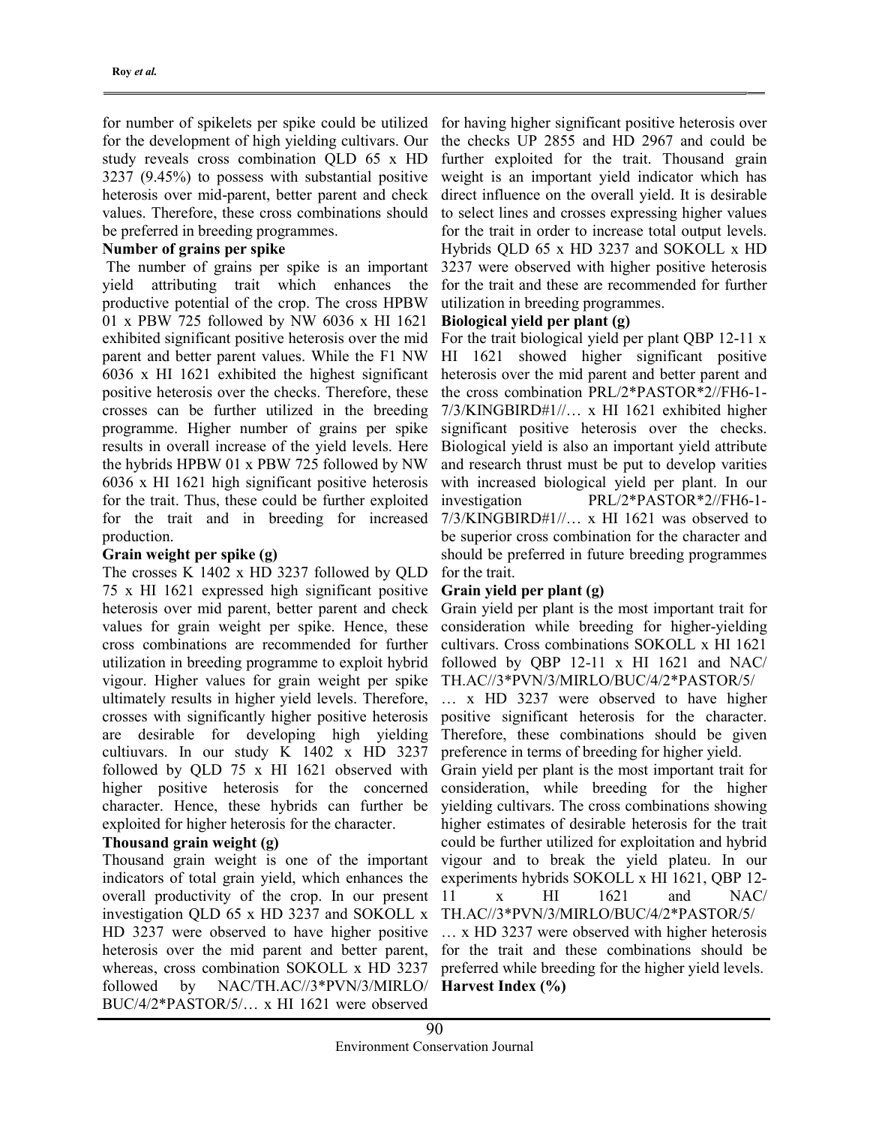for number of spikelets per spike could be utilized for the development of high yielding cultivars. Our study reveals cross combination QLD 65 x HD 3237 (9.45%) to possess with substantial positive heterosis over mid-parent, better parent and check values. Therefore, these cross combinations should be preferred in breeding programmes.

### Number of grains per spike

 The number of grains per spike is an important yield attributing trait which enhances the productive potential of the crop. The cross HPBW 01 x PBW 725 followed by NW 6036 x HI 1621 exhibited significant positive heterosis over the mid parent and better parent values. While the F1 NW 6036 x HI 1621 exhibited the highest significant positive heterosis over the checks. Therefore, these crosses can be further utilized in the breeding programme. Higher number of grains per spike results in overall increase of the yield levels. Here the hybrids HPBW 01 x PBW 725 followed by NW 6036 x HI 1621 high significant positive heterosis for the trait. Thus, these could be further exploited for the trait and in breeding for increased production.

### Grain weight per spike (g)

The crosses K 1402 x HD 3237 followed by QLD 75 x HI 1621 expressed high significant positive heterosis over mid parent, better parent and check values for grain weight per spike. Hence, these cross combinations are recommended for further utilization in breeding programme to exploit hybrid vigour. Higher values for grain weight per spike ultimately results in higher yield levels. Therefore, crosses with significantly higher positive heterosis are desirable for developing high yielding cultiuvars. In our study K 1402 x HD 3237 followed by QLD 75 x HI 1621 observed with higher positive heterosis for the concerned character. Hence, these hybrids can further be exploited for higher heterosis for the character.

### Thousand grain weight (g)

Thousand grain weight is one of the important indicators of total grain yield, which enhances the overall productivity of the crop. In our present investigation QLD 65 x HD 3237 and SOKOLL x HD 3237 were observed to have higher positive heterosis over the mid parent and better parent, whereas, cross combination SOKOLL x HD 3237 followed by NAC/TH.AC//3\*PVN/3/MIRLO/ BUC/4/2\*PASTOR/5/… x HI 1621 were observed

for having higher significant positive heterosis over the checks UP 2855 and HD 2967 and could be further exploited for the trait. Thousand grain weight is an important yield indicator which has direct influence on the overall yield. It is desirable to select lines and crosses expressing higher values for the trait in order to increase total output levels. Hybrids QLD 65 x HD 3237 and SOKOLL x HD 3237 were observed with higher positive heterosis for the trait and these are recommended for further utilization in breeding programmes.

### Biological yield per plant (g)

For the trait biological yield per plant QBP 12-11 x HI 1621 showed higher significant positive heterosis over the mid parent and better parent and the cross combination PRL/2\*PASTOR\*2//FH6-1- 7/3/KINGBIRD#1//… x HI 1621 exhibited higher significant positive heterosis over the checks. Biological yield is also an important yield attribute and research thrust must be put to develop varities with increased biological yield per plant. In our investigation PRL/2\*PASTOR\*2//FH6-1- 7/3/KINGBIRD#1//… x HI 1621 was observed to be superior cross combination for the character and should be preferred in future breeding programmes for the trait.

### Grain yield per plant (g)

Grain yield per plant is the most important trait for consideration while breeding for higher-yielding cultivars. Cross combinations SOKOLL x HI 1621 followed by QBP 12-11 x HI 1621 and NAC/ TH.AC//3\*PVN/3/MIRLO/BUC/4/2\*PASTOR/5/

… x HD 3237 were observed to have higher positive significant heterosis for the character. Therefore, these combinations should be given preference in terms of breeding for higher yield.

Grain yield per plant is the most important trait for consideration, while breeding for the higher yielding cultivars. The cross combinations showing higher estimates of desirable heterosis for the trait could be further utilized for exploitation and hybrid vigour and to break the yield plateu. In our experiments hybrids SOKOLL x HI 1621, QBP 12- 11 x HI 1621 and NAC/ TH.AC//3\*PVN/3/MIRLO/BUC/4/2\*PASTOR/5/

… x HD 3237 were observed with higher heterosis for the trait and these combinations should be preferred while breeding for the higher yield levels. Harvest Index (%)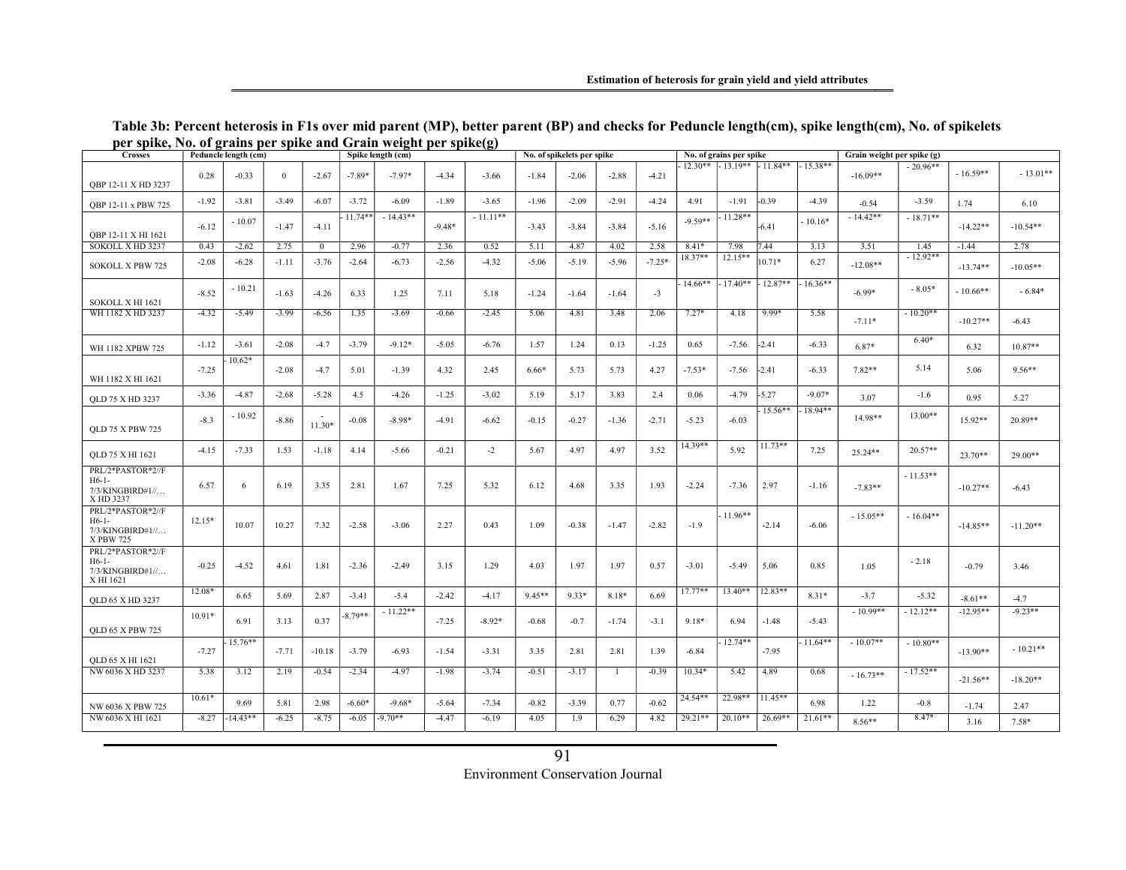| <b>Crosses</b>                                                   | Peduncle length (cm)<br>Spike length (cm) |            |                |                |           |            |          | No. of spikelets per spike |         |         |                | No. of grains per spike |           |            | Grain weight per spike (g) |            |            |            |            |            |
|------------------------------------------------------------------|-------------------------------------------|------------|----------------|----------------|-----------|------------|----------|----------------------------|---------|---------|----------------|-------------------------|-----------|------------|----------------------------|------------|------------|------------|------------|------------|
| OBP 12-11 X HD 3237                                              | 0.28                                      | $-0.33$    | $\overline{0}$ | $-2.67$        | $-7.89*$  | $-7.97*$   | $-4.34$  | $-3.66$                    | $-1.84$ | $-2.06$ | $-2.88$        | $-4.21$                 | $12.30**$ |            | $-13.19**$ $-11.84**$      | $-15.38**$ | $-16.09**$ | $-20.96**$ | $-16.59**$ | $-13.01**$ |
| QBP 12-11 x PBW 725                                              | $-1.92$                                   | $-3.81$    | $-3.49$        | $-6.07$        | $-3.72$   | $-6.09$    | $-1.89$  | $-3.65$                    | $-1.96$ | $-2.09$ | $-2.91$        | $-4.24$                 | 4.91      | $-1.91$    | $-0.39$                    | $-4.39$    | $-0.54$    | $-3.59$    | 1.74       | 6.10       |
| OBP 12-11 X HI 1621                                              | $-6.12$                                   | $-10.07$   | $-1.47$        | $-4.11$        | $11.74**$ | $-14.43**$ | $-9.48*$ | $-11.11**$                 | $-3.43$ | $-3.84$ | $-3.84$        | $-5.16$                 | $-9.59**$ | $11.28**$  | $-6.41$                    | $10.16*$   | $-14.42**$ | $-18.71**$ | $-14.22**$ | $-10.54**$ |
| SOKOLL X HD 3237                                                 | 0.43                                      | $-2.62$    | 2.75           | $\overline{0}$ | 2.96      | $-0.77$    | 2.36     | 0.52                       | 5.11    | 4.87    | 4.02           | 2.58                    | $8.41*$   | 7.98       | 7.44                       | 3.13       | 3.51       | 1.45       | $-1.44$    | 2.78       |
| <b>SOKOLL X PBW 725</b>                                          | $-2.08$                                   | $-6.28$    | $-1.11$        | $-3.76$        | $-2.64$   | $-6.73$    | $-2.56$  | $-4.32$                    | $-5.06$ | $-5.19$ | $-5.96$        | $-7.25*$                | 18.37**   | $12.15**$  | $10.71*$                   | 6.27       | $-12.08**$ | $-12.92**$ | $-13.74**$ | $-10.05**$ |
| SOKOLL X HI 1621                                                 | $-8.52$                                   | $-10.21$   | $-1.63$        | $-4.26$        | 6.33      | 1.25       | 7.11     | 5.18                       | $-1.24$ | $-1.64$ | $-1.64$        | $-3$                    | 14.66**   | $-17.40**$ | $12.87**$                  | $16.36**$  | $-6.99*$   | $-8.05*$   | $-10.66**$ | $-6.84*$   |
| WH 1182 X HD 3237                                                | $-4.32$                                   | $-5.49$    | $-3.99$        | $-6.56$        | 1.35      | $-3.69$    | $-0.66$  | $-2.45$                    | 5.06    | 4.81    | 3.48           | 2.06                    | $7.27*$   | 4.18       | $9.99*$                    | 5.58       | $-7.11*$   | $-10.20**$ | $-10.27**$ | $-6.43$    |
| WH 1182 XPBW 725                                                 | $-1.12$                                   | $-3.61$    | $-2.08$        | $-4.7$         | $-3.79$   | $-9.12*$   | $-5.05$  | $-6.76$                    | 1.57    | 1.24    | 0.13           | $-1.25$                 | 0.65      | $-7.56$    | $-2.41$                    | $-6.33$    | $6.87*$    | $6.40*$    | 6.32       | $10.87**$  |
| WH 1182 X HI 1621                                                | $-7.25$                                   | $10.62*$   | $-2.08$        | $-4.7$         | 5.01      | $-1.39$    | 4.32     | 2.45                       | $6.66*$ | 5.73    | 5.73           | 4.27                    | $-7.53*$  | $-7.56$    | $-2.41$                    | $-6.33$    | 7.82**     | 5.14       | 5.06       | $9.56**$   |
| <b>OLD 75 X HD 3237</b>                                          | $-3.36$                                   | $-4.87$    | $-2.68$        | $-5.28$        | 4.5       | $-4.26$    | $-1.25$  | $-3.02$                    | 5.19    | 5.17    | 3.83           | 2.4                     | 0.06      | $-4.79$    | $-5.27$                    | $-9.07*$   | 3.07       | $-1.6$     | 0.95       | 5.27       |
| <b>QLD 75 X PBW 725</b>                                          | $-8.3$                                    | $-10.92$   | $-8.86$        | $11.30*$       | $-0.08$   | $-8.98*$   | $-4.91$  | $-6.62$                    | $-0.15$ | $-0.27$ | $-1.36$        | $-2.71$                 | $-5.23$   | $-6.03$    | 15.56**                    | 18.94**    | 14.98**    | 13.00**    | 15.92**    | 20.89**    |
| <b>QLD 75 X HI 1621</b>                                          | $-4.15$                                   | $-7.33$    | 1.53           | $-1.18$        | 4.14      | $-5.66$    | $-0.21$  | $-2$                       | 5.67    | 4.97    | 4.97           | 3.52                    | $14.39**$ | 5.92       | $11.73**$                  | 7.25       | 25.24**    | $20.57**$  | $23.70**$  | $29.00**$  |
| PRL/2*PASTOR*2//F<br>$H6-1-$<br>7/3/KINGBIRD#1//<br>X HD 3237    | 6.57                                      | 6          | 6.19           | 3.35           | 2.81      | 1.67       | 7.25     | 5.32                       | 6.12    | 4.68    | 3.35           | 1.93                    | $-2.24$   | $-7.36$    | 2.97                       | $-1.16$    | $-7.83**$  | $-11.53**$ | $-10.27**$ | $-6.43$    |
| PRL/2*PASTOR*2//F<br>$H6-1-$<br>$7/3$ /KINGBIRD#1//<br>X PBW 725 | $12.15*$                                  | 10.07      | 10.27          | 7.32           | $-2.58$   | $-3.06$    | 2.27     | 0.43                       | 1.09    | $-0.38$ | $-1.47$        | $-2.82$                 | $-1.9$    | $11.96**$  | $-2.14$                    | $-6.06$    | $-15.05**$ | $-16.04**$ | $-14.85**$ | $-11.20**$ |
| PRL/2*PASTOR*2//F<br>$H6-1-$<br>7/3/KINGBIRD#1//<br>X HI 1621    | $-0.25$                                   | $-4.52$    | 4.61           | 1.81           | $-2.36$   | $-2.49$    | 3.15     | 1.29                       | 4.03    | 1.97    | 1.97           | 0.57                    | $-3.01$   | $-5.49$    | 5.06                       | 0.85       | 1.05       | $-2.18$    | $-0.79$    | 3.46       |
| <b>QLD 65 X HD 3237</b>                                          | 12.08*                                    | 6.65       | 5.69           | 2.87           | $-3.41$   | $-5.4$     | $-2.42$  | $-4.17$                    | 9.45**  | $9.33*$ | 8.18*          | 6.69                    | $17.77**$ | $13.40**$  | $12.83**$                  | $8.31*$    | $-3.7$     | $-5.32$    | $-8.61**$  | $-4.7$     |
| <b>OLD 65 X PBW 725</b>                                          | $10.91*$                                  | 6.91       | 3.13           | 0.37           | $8.79**$  | $-11.22**$ | $-7.25$  | $-8.92*$                   | $-0.68$ | $-0.7$  | $-1.74$        | $-3.1$                  | 9.18*     | 6.94       | $-1.48$                    | $-5.43$    | $-10.99**$ | $-12.12**$ | $-12.95**$ | $-9.23**$  |
| <b>QLD 65 X HI 1621</b>                                          | $-7.27$                                   | $15.76**$  | $-7.71$        | $-10.18$       | $-3.79$   | $-6.93$    | $-1.54$  | $-3.31$                    | 3.35    | 2.81    | 2.81           | 1.39                    | $-6.84$   | 12.74**    | $-7.95$                    | $11.64**$  | $-10.07**$ | $-10.80**$ | $-13.90**$ | $-10.21**$ |
| NW 6036 X HD 3237                                                | 5.38                                      | 3.12       | 2.19           | $-0.54$        | $-2.34$   | $-4.97$    | $-1.98$  | $-3.74$                    | $-0.51$ | $-3.17$ | $\overline{1}$ | $-0.39$                 | $10.34*$  | 5.42       | 4.89                       | 0.68       | $-16.73**$ | $-17.52**$ | $-21.56**$ | $-18.20**$ |
| NW 6036 X PBW 725                                                | $10.61*$                                  | 9.69       | 5.81           | 2.98           | $-6.60*$  | $-9.68*$   | $-5.64$  | $-7.34$                    | $-0.82$ | $-3.39$ | 0.77           | $-0.62$                 | 24.54**   | 22.98**    | $11.45**$                  | 6.98       | 1.22       | $-0.8$     | $-1.74$    | 2.47       |
| NW 6036 X HI 1621                                                | $-8.27$                                   | $-14.43**$ | $-6.25$        | $-8.75$        | $-6.05$   | $-9.70**$  | $-4.47$  | $-6.19$                    | 4.05    | 1.9     | 6.29           | 4.82                    | $29.21**$ | $20.10**$  | $26.69**$                  | $21.61**$  | $8.56**$   | $8.47*$    | 3.16       | $7.58*$    |

#### Table 3b: Percent heterosis in F1s over mid parent (MP), better parent (BP) and checks for Peduncle length(cm), spike length(cm), No. of spikelets per spike, No. of grains per spike and Grain weight per spike(g)

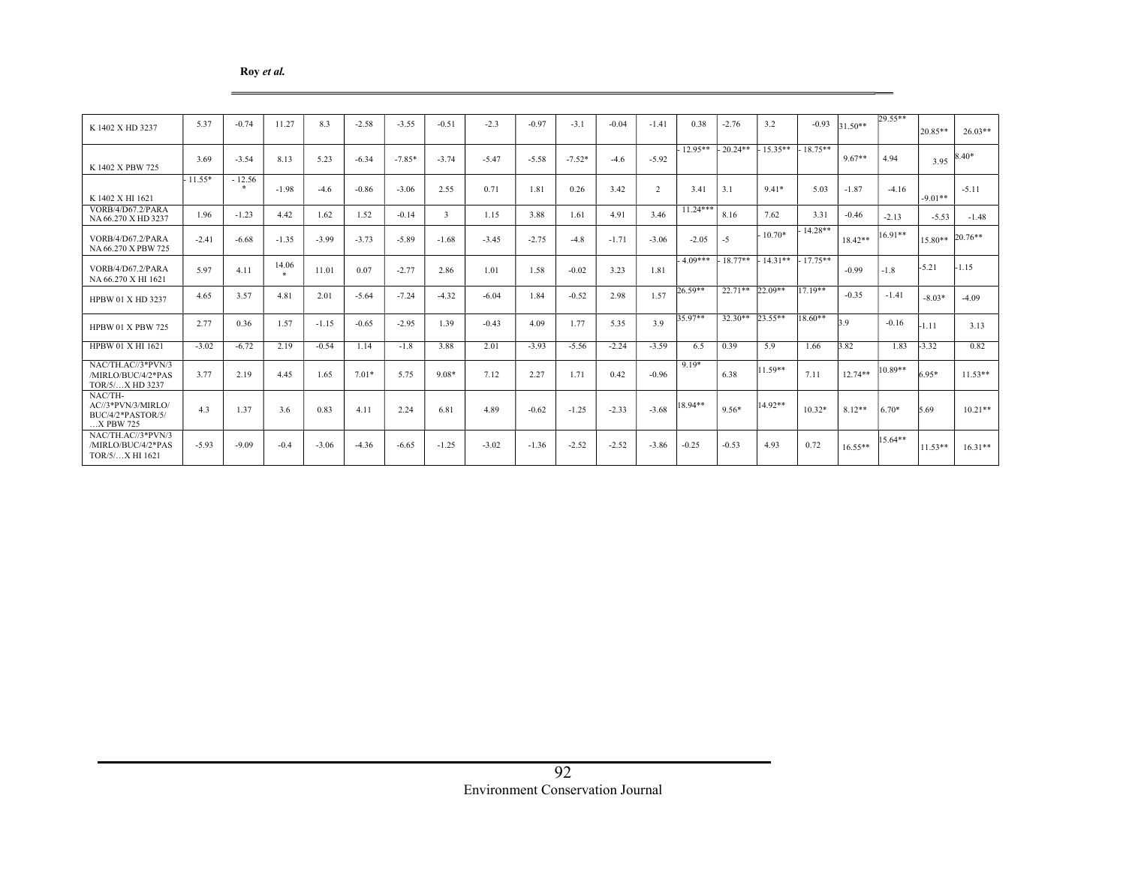#### Roy et al.

| K 1402 X HD 3237                                                  | 5.37      | $-0.74$  | 11.27                 | 8.3     | $-2.58$ | $-3.55$  | $-0.51$ | $-2.3$  | $-0.97$ | $-3.1$   | $-0.04$ | $-1.41$        | 0.38       | $-2.76$    | 3.2       | $-0.93$   | 31.50**   | $29.55**$ | $20.85**$ | $26.03**$ |
|-------------------------------------------------------------------|-----------|----------|-----------------------|---------|---------|----------|---------|---------|---------|----------|---------|----------------|------------|------------|-----------|-----------|-----------|-----------|-----------|-----------|
| K 1402 X PBW 725                                                  | 3.69      | $-3.54$  | 8.13                  | 5.23    | $-6.34$ | $-7.85*$ | $-3.74$ | $-5.47$ | $-5.58$ | $-7.52*$ | $-4.6$  | $-5.92$        | $12.95**$  | $-20.24**$ | $15.35**$ | $18.75**$ | $9.67**$  | 4.94      | 3.95      | $8.40*$   |
| K 1402 X HI 1621                                                  | $-11.55*$ | $-12.56$ | $-1.98$               | $-4.6$  | $-0.86$ | $-3.06$  | 2.55    | 0.71    | 1.81    | 0.26     | 3.42    | $\overline{2}$ | 3.41       | 3.1        | $9.41*$   | 5.03      | $-1.87$   | $-4.16$   | $-9.01**$ | $-5.11$   |
| VORB/4/D67.2/PARA<br>NA 66.270 X HD 3237                          | 1.96      | $-1.23$  | 4.42                  | 1.62    | 1.52    | $-0.14$  | 3       | 1.15    | 3.88    | 1.61     | 4.91    | 3.46           | $11.24***$ | 8.16       | 7.62      | 3.31      | $-0.46$   | $-2.13$   | $-5.53$   | $-1.48$   |
| VORB/4/D67.2/PARA<br>NA 66.270 X PBW 725                          | $-2.41$   | $-6.68$  | $-1.35$               | $-3.99$ | $-3.73$ | $-5.89$  | $-1.68$ | $-3.45$ | $-2.75$ | $-4.8$   | $-1.71$ | $-3.06$        | $-2.05$    | $-5$       | $10.70*$  | 14.28**   | $18.42**$ | $16.91**$ | 15.80**   | 20.76**   |
| VORB/4/D67.2/PARA<br>NA 66.270 X HI 1621                          | 5.97      | 4.11     | 14.06<br>$\mathbf{r}$ | 11.01   | 0.07    | $-2.77$  | 2.86    | 1.01    | 1.58    | $-0.02$  | 3.23    | 1.81           | $-4.09***$ | $18.77**$  | $14.31**$ | $17.75**$ | $-0.99$   | $-1.8$    | $-5.21$   | $-1.15$   |
| HPBW 01 X HD 3237                                                 | 4.65      | 3.57     | 4.81                  | 2.01    | $-5.64$ | $-7.24$  | $-4.32$ | $-6.04$ | 1.84    | $-0.52$  | 2.98    | 1.57           | $26.59**$  | $22.71**$  | $22.09**$ | $17.19**$ | $-0.35$   | $-1.41$   | $-8.03*$  | $-4.09$   |
| <b>HPBW 01 X PBW 725</b>                                          | 2.77      | 0.36     | 1.57                  | $-1.15$ | $-0.65$ | $-2.95$  | 1.39    | $-0.43$ | 4.09    | 1.77     | 5.35    | 3.9            | 35.97**    | $32.30**$  | $23.55**$ | $18.60**$ | 39        | $-0.16$   | $-1.11$   | 3.13      |
| <b>HPBW 01 X HI 1621</b>                                          | $-3.02$   | $-6.72$  | 2.19                  | $-0.54$ | 1.14    | $-1.8$   | 3.88    | 2.01    | $-3.93$ | $-5.56$  | $-2.24$ | $-3.59$        | 6.5        | 0.39       | 5.9       | 1.66      | 3.82      | 1.83      | $-3.32$   | 0.82      |
| NAC/TH.AC//3*PVN/3<br>/MIRLO/BUC/4/2*PAS<br>TOR/5/X HD 3237       | 3.77      | 2.19     | 4.45                  | 1.65    | $7.01*$ | 5.75     | $9.08*$ | 7.12    | 2.27    | 1.71     | 0.42    | $-0.96$        | $9.19*$    | 6.38       | 11.59**   | 7.11      | $12.74**$ | 10.89**   | $6.95*$   | $11.53**$ |
| NAC/TH-<br>AC//3*PVN/3/MIRLO/<br>BUC/4/2*PASTOR/5/<br>$X$ PBW 725 | 4.3       | 1.37     | 3.6                   | 0.83    | 4.11    | 2.24     | 6.81    | 4.89    | $-0.62$ | $-1.25$  | $-2.33$ | $-3.68$        | 18.94**    | $9.56*$    | 14.92**   | $10.32*$  | $8.12**$  | $6.70*$   | 5.69      | $10.21**$ |
| NAC/TH.AC//3*PVN/3<br>/MIRLO/BUC/4/2*PAS<br>TOR/5/X HI 1621       | $-5.93$   | $-9.09$  | $-0.4$                | $-3.06$ | $-4.36$ | $-6.65$  | $-1.25$ | $-3.02$ | $-1.36$ | $-2.52$  | $-2.52$ | $-3.86$        | $-0.25$    | $-0.53$    | 4.93      | 0.72      | $16.55**$ | $15.64**$ | $11.53**$ | $16.31**$ |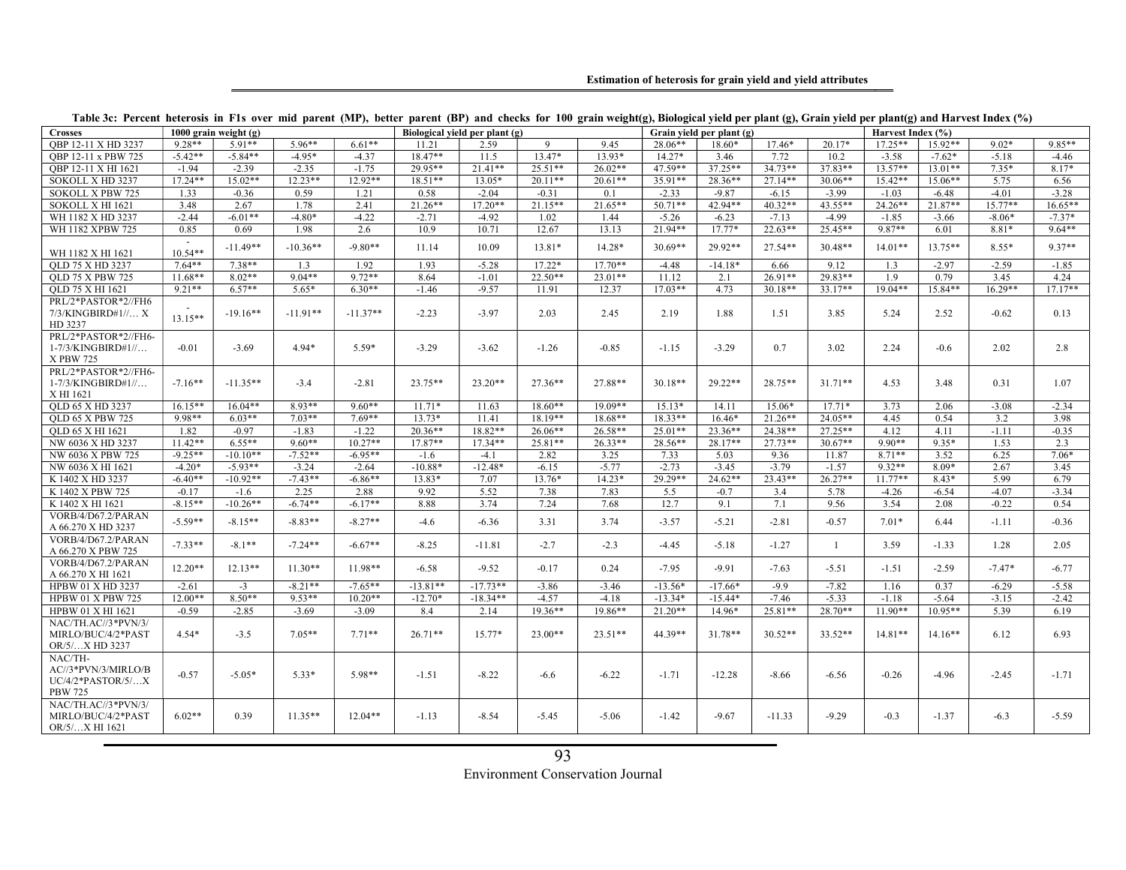Estimation of heterosis for grain yield and yield attributes

| <b>Crosses</b>                                                          |                     | 1000 grain weight $(g)$ |            |            |            | Biological vield per plant (g) |           |           |           | Grain yield per plant (g) |           |                | Harvest Index (%) |           |           |           |  |
|-------------------------------------------------------------------------|---------------------|-------------------------|------------|------------|------------|--------------------------------|-----------|-----------|-----------|---------------------------|-----------|----------------|-------------------|-----------|-----------|-----------|--|
| OBP 12-11 X HD 3237                                                     | $9.28**$            | $5.91**$                | $5.96**$   | $6.61**$   | 11.21      | 2.59                           | 9         | 9.45      | 28.06**   | 18.60*                    | $17.46*$  | $20.17*$       | $17.25**$         | $15.92**$ | $9.02*$   | 9.85**    |  |
| OBP 12-11 x PBW 725                                                     | $-5.42**$           | $-5.84**$               | $-4.95*$   | $-4.37$    | $18.47**$  | 11.5                           | $13.47*$  | 13.93*    | $14.27*$  | 3.46                      | 7.72      | 10.2           | $-3.58$           | $-7.62*$  | $-5.18$   | $-4.46$   |  |
| OBP 12-11 X HI 1621                                                     | $-1.94$             | $-2.39$                 | $-2.35$    | $-1.75$    | 29.95**    | $21.41**$                      | $25.51**$ | $26.02**$ | 47.59**   | $37.25**$                 | $34.73**$ | $37.83**$      | $13.57**$         | $13.01**$ | $7.35*$   | $8.17*$   |  |
| SOKOLL X HD 3237                                                        | 17.24**             | $15.02**$               | $12.23**$  | $12.92**$  | $18.51**$  | $13.05*$                       | $20.11**$ | $20.61**$ | 35.91**   | 28.36**                   | 27.14**   | $30.06**$      | 15.42**           | 15.06**   | 5.75      | 6.56      |  |
| <b>SOKOLL X PBW 725</b>                                                 | 1.33                | $-0.36$                 | 0.59       | 1.21       | 0.58       | $-2.04$                        | $-0.31$   | 0.1       | $-2.33$   | $-9.87$                   | $-6.15$   | $-3.99$        | $-1.03$           | $-6.48$   | $-4.01$   | $-3.28$   |  |
| SOKOLL X HI 1621                                                        | 3.48                | 2.67                    | 1.78       | 2.41       | $21.26**$  | $17.20**$                      | $21.15**$ | $21.65**$ | $50.71**$ | 42.94**                   | $40.32**$ | $43.55***$     | 24.26**           | 21.87**   | $15.77**$ | $16.65**$ |  |
| WH 1182 X HD 3237                                                       | $-2.44$             | $-6.01**$               | $-4.80*$   | $-4.22$    | $-2.71$    | $-4.92$                        | 1.02      | 1.44      | $-5.26$   | $-6.23$                   | $-7.13$   | $-4.99$        | $-1.85$           | $-3.66$   | $-8.06*$  | $-7.37*$  |  |
| WH 1182 XPBW 725                                                        | 0.85                | 0.69                    | 1.98       | 2.6        | 10.9       | 10.71                          | 12.67     | 13.13     | $21.94**$ | $17.77*$                  | $22.63**$ | $25.45**$      | $9.87**$          | 6.01      | 8.81*     | $9.64**$  |  |
| WH 1182 X HI 1621                                                       | $\sim$<br>$10.54**$ | $-11.49**$              | $-10.36**$ | $-9.80**$  | 11.14      | 10.09                          | $13.81*$  | 14.28*    | $30.69**$ | 29.92**                   | $27.54**$ | $30.48**$      | $14.01**$         | $13.75**$ | $8.55*$   | $9.37**$  |  |
| OLD 75 X HD 3237                                                        | $7.64**$            | $7.38**$                | 1.3        | 1.92       | 1.93       | $-5.28$                        | $17.22*$  | $17.70**$ | $-4.48$   | $-14.18*$                 | 6.66      | 9.12           | 1.3               | $-2.97$   | $-2.59$   | $-1.85$   |  |
| <b>OLD 75 X PBW 725</b>                                                 | $11.68**$           | $8.02**$                | $9.04**$   | $9.72**$   | 8.64       | $-1.01$                        | $22.50**$ | $23.01**$ | 11.12     | 2.1                       | $26.91**$ | 29.83**        | 1.9               | 0.79      | 3.45      | 4.24      |  |
| OLD 75 X HI 1621                                                        | $9.21**$            | $6.57**$                | $5.65*$    | $6.30**$   | $-1.46$    | $-9.57$                        | 11.91     | 12.37     | $17.03**$ | 4.73                      | $30.18**$ | $33.17**$      | $19.04**$         | $15.84**$ | $16.29**$ | $17.17**$ |  |
| PRL/2*PASTOR*2//FH6<br>7/3/KINGBIRD#1// X<br>HD 3237                    | $13.15**$           | $-19.16**$              | $-11.91**$ | $-11.37**$ | $-2.23$    | $-3.97$                        | 2.03      | 2.45      | 2.19      | 1.88                      | 1.51      | 3.85           | 5.24              | 2.52      | $-0.62$   | 0.13      |  |
| PRL/2*PASTOR*2//FH6-<br>1-7/3/KINGBIRD#1//<br>X PBW 725                 | $-0.01$             | $-3.69$                 | $4.94*$    | $5.59*$    | $-3.29$    | $-3.62$                        | $-1.26$   | $-0.85$   | $-1.15$   | $-3.29$                   | 0.7       | 3.02           | 2.24              | $-0.6$    | 2.02      | 2.8       |  |
| PRL/2*PASTOR*2//FH6-<br>$1-7/3$ /KINGBIRD# $1/$<br>X HI 1621            | $-7.16**$           | $-11.35**$              | $-3.4$     | $-2.81$    | $23.75**$  | $23.20**$                      | $27.36**$ | 27.88**   | $30.18**$ | $29.22**$                 | 28.75**   | $31.71**$      | 4.53              | 3.48      | 0.31      | 1.07      |  |
| OLD 65 X HD 3237                                                        | $16.15**$           | $16.04**$               | 8.93**     | $9.60**$   | $11.71*$   | 11.63                          | $18.60**$ | 19.09**   | $15.13*$  | 14.11                     | 15.06*    | $17.71*$       | 3.73              | 2.06      | $-3.08$   | $-2.34$   |  |
| <b>OLD 65 X PBW 725</b>                                                 | 9.98**              | $6.03**$                | $7.03**$   | $7.69**$   | $13.73*$   | 11.41                          | $18.19**$ | 18.68**   | $18.33**$ | $16.46*$                  | $21.26**$ | $24.05**$      | 4.45              | 0.54      | 3.2       | 3.98      |  |
| <b>OLD 65 X HI 1621</b>                                                 | 1.82                | $-0.97$                 | $-1.83$    | $-1.22$    | $20.36**$  | $18.82**$                      | $26.06**$ | $26.58**$ | $25.01**$ | $23.36**$                 | 24.38**   | $27.25**$      | 4.12              | 4.11      | $-1.11$   | $-0.35$   |  |
| NW 6036 X HD 3237                                                       | $11.42**$           | $6.55**$                | $9.60**$   | $10.27**$  | $17.87**$  | $17.34**$                      | 25.81**   | $26.33**$ | 28.56**   | $28.17**$                 | $27.73**$ | $30.67**$      | 9.90**            | $9.35*$   | 1.53      | 2.3       |  |
| NW 6036 X PBW 725                                                       | $-9.25**$           | $-10.10**$              | $-7.52**$  | $-6.95**$  | $-1.6$     | $-4.1$                         | 2.82      | 3.25      | 7.33      | 5.03                      | 9.36      | 11.87          | $8.71**$          | 3.52      | 6.25      | $7.06*$   |  |
| NW 6036 X HI 1621                                                       | $-4.20*$            | $-5.93**$               | $-3.24$    | $-2.64$    | $-10.88*$  | $-12.48*$                      | $-6.15$   | $-5.77$   | $-2.73$   | $-3.45$                   | $-3.79$   | $-1.57$        | 9.32**            | 8.09*     | 2.67      | 3.45      |  |
| K 1402 X HD 3237                                                        | $-6.40**$           | $-10.92**$              | $-7.43**$  | $-6.86**$  | 13.83*     | 7.07                           | $13.76*$  | $14.23*$  | 29.29**   | $24.62**$                 | $23.43**$ | $26.27**$      | $11.77**$         | $8.43*$   | 5.99      | 6.79      |  |
| K 1402 X PBW 725                                                        | $-0.17$             | $-1.6$                  | 2.25       | 2.88       | 9.92       | 5.52                           | 7.38      | 7.83      | 5.5       | $-0.7$                    | 3.4       | 5.78           | $-4.26$           | $-6.54$   | $-4.07$   | $-3.34$   |  |
| K 1402 X HI 1621                                                        | $-8.15**$           | $-10.26**$              | $-6.74**$  | $-6.17**$  | 8.88       | 3.74                           | 7.24      | 7.68      | 12.7      | 9.1                       | 7.1       | 9.56           | 3.54              | 2.08      | $-0.22$   | 0.54      |  |
| VORB/4/D67.2/PARAN<br>A 66.270 X HD 3237                                | $-5.59**$           | $-8.15**$               | $-8.83**$  | $-8.27**$  | $-4.6$     | $-6.36$                        | 3.31      | 3.74      | $-3.57$   | $-5.21$                   | $-2.81$   | $-0.57$        | $7.01*$           | 6.44      | $-1.11$   | $-0.36$   |  |
| VORB/4/D67.2/PARAN<br>A 66.270 X PBW 725                                | $-7.33**$           | $-8.1**$                | $-7.24**$  | $-6.67**$  | $-8.25$    | $-11.81$                       | $-2.7$    | $-2.3$    | $-4.45$   | $-5.18$                   | $-1.27$   | $\overline{1}$ | 3.59              | $-1.33$   | 1.28      | 2.05      |  |
| VORB/4/D67.2/PARAN<br>A 66.270 X HI 1621                                | $12.20**$           | $12.13**$               | $11.30**$  | $11.98**$  | $-6.58$    | $-9.52$                        | $-0.17$   | 0.24      | $-7.95$   | $-9.91$                   | $-7.63$   | $-5.51$        | $-1.51$           | $-2.59$   | $-7.47*$  | $-6.77$   |  |
| HPBW 01 X HD 3237                                                       | $-2.61$             | $-3$                    | $-8.21**$  | $-7.65**$  | $-13.81**$ | $-17.73**$                     | $-3.86$   | $-3.46$   | $-13.56*$ | $-17.66*$                 | $-9.9$    | $-7.82$        | 1.16              | 0.37      | $-6.29$   | $-5.58$   |  |
| <b>HPBW 01 X PBW 725</b>                                                | $12.00**$           | $8.50**$                | $9.53**$   | $10.20**$  | $-12.70*$  | $-18.34**$                     | $-4.57$   | $-4.18$   | $-13.34*$ | $-15.44*$                 | $-7.46$   | $-5.33$        | $-1.18$           | $-5.64$   | $-3.15$   | $-2.42$   |  |
| HPBW 01 X HI 1621                                                       | $-0.59$             | $-2.85$                 | $-3.69$    | $-3.09$    | 8.4        | 2.14                           | 19.36**   | 19.86**   | $21.20**$ | 14.96*                    | 25.81**   | 28.70**        | $11.90**$         | $10.95**$ | 5.39      | 6.19      |  |
| NAC/TH.AC//3*PVN/3/<br>MIRLO/BUC/4/2*PAST<br>OR/5/X HD 3237             | $4.54*$             | $-3.5$                  | $7.05**$   | $7.71**$   | $26.71**$  | $15.77*$                       | $23.00**$ | $23.51**$ | 44.39**   | $31.78**$                 | $30.52**$ | 33.52**        | $14.81**$         | $14.16**$ | 6.12      | 6.93      |  |
| NAC/TH-<br>AC//3*PVN/3/MIRLO/B<br>$UC/4/2*PASTOR/5/X$<br><b>PBW 725</b> | $-0.57$             | $-5.05*$                | $5.33*$    | 5.98**     | $-1.51$    | $-8.22$                        | $-6.6$    | $-6.22$   | $-1.71$   | $-12.28$                  | $-8.66$   | $-6.56$        | $-0.26$           | $-4.96$   | $-2.45$   | $-1.71$   |  |
| NAC/TH.AC//3*PVN/3/<br>MIRLO/BUC/4/2*PAST<br>OR/5/X HI 1621             | $6.02**$            | 0.39                    | $11.35**$  | $12.04**$  | $-1.13$    | $-8.54$                        | $-5.45$   | $-5.06$   | $-1.42$   | $-9.67$                   | $-11.33$  | $-9.29$        | $-0.3$            | $-1.37$   | $-6.3$    | $-5.59$   |  |

#### Table 3c: Percent heterosis in F1s over mid parent (MP), better parent (BP) and checks for 100 grain weight(g), Biological yield per plant (g), Grain yield per plant(g) and Harvest Index (%)

93 Environment Conservation Journal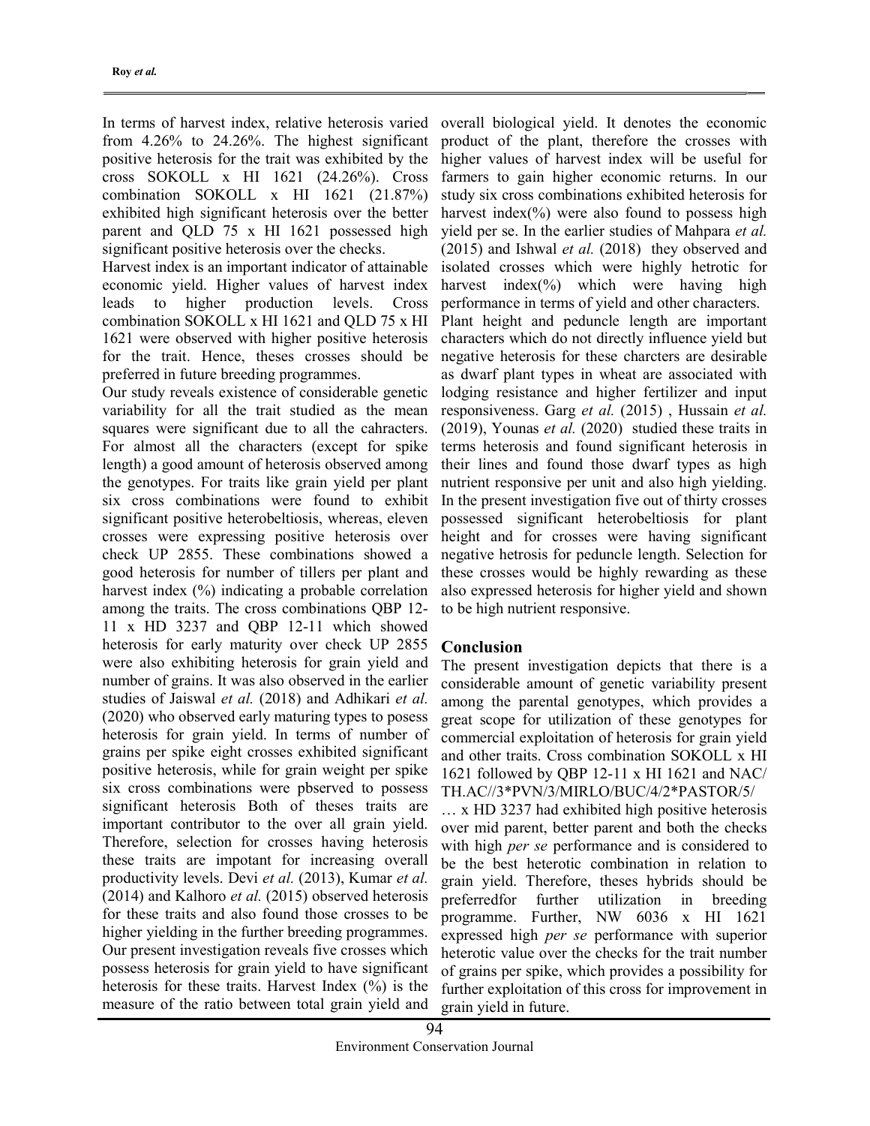In terms of harvest index, relative heterosis varied from 4.26% to 24.26%. The highest significant positive heterosis for the trait was exhibited by the cross SOKOLL x HI 1621 (24.26%). Cross combination SOKOLL x HI 1621 (21.87%) exhibited high significant heterosis over the better parent and QLD 75 x HI 1621 possessed high significant positive heterosis over the checks.

Harvest index is an important indicator of attainable economic yield. Higher values of harvest index leads to higher production levels. Cross combination SOKOLL x HI 1621 and QLD 75 x HI 1621 were observed with higher positive heterosis for the trait. Hence, theses crosses should be preferred in future breeding programmes.

Our study reveals existence of considerable genetic variability for all the trait studied as the mean squares were significant due to all the cahracters. For almost all the characters (except for spike length) a good amount of heterosis observed among the genotypes. For traits like grain yield per plant six cross combinations were found to exhibit significant positive heterobeltiosis, whereas, eleven crosses were expressing positive heterosis over check UP 2855. These combinations showed a good heterosis for number of tillers per plant and harvest index (%) indicating a probable correlation among the traits. The cross combinations QBP 12- 11 x HD 3237 and QBP 12-11 which showed heterosis for early maturity over check UP 2855 were also exhibiting heterosis for grain yield and number of grains. It was also observed in the earlier studies of Jaiswal et al. (2018) and Adhikari et al. (2020) who observed early maturing types to posess heterosis for grain yield. In terms of number of grains per spike eight crosses exhibited significant positive heterosis, while for grain weight per spike six cross combinations were pbserved to possess significant heterosis Both of theses traits are important contributor to the over all grain yield. Therefore, selection for crosses having heterosis these traits are impotant for increasing overall productivity levels. Devi et al. (2013), Kumar et al.  $(2014)$  and Kalhoro *et al.*  $(2015)$  observed heterosis for these traits and also found those crosses to be higher yielding in the further breeding programmes. Our present investigation reveals five crosses which possess heterosis for grain yield to have significant heterosis for these traits. Harvest Index (%) is the measure of the ratio between total grain yield and

overall biological yield. It denotes the economic product of the plant, therefore the crosses with higher values of harvest index will be useful for farmers to gain higher economic returns. In our study six cross combinations exhibited heterosis for harvest index $(\%)$  were also found to possess high yield per se. In the earlier studies of Mahpara et al. (2015) and Ishwal et al. (2018) they observed and isolated crosses which were highly hetrotic for harvest index $(\%)$  which were having high performance in terms of yield and other characters. Plant height and peduncle length are important characters which do not directly influence yield but negative heterosis for these charcters are desirable as dwarf plant types in wheat are associated with lodging resistance and higher fertilizer and input responsiveness. Garg et al. (2015) , Hussain et al. (2019), Younas et al. (2020) studied these traits in terms heterosis and found significant heterosis in their lines and found those dwarf types as high nutrient responsive per unit and also high yielding. In the present investigation five out of thirty crosses possessed significant heterobeltiosis for plant height and for crosses were having significant negative hetrosis for peduncle length. Selection for these crosses would be highly rewarding as these also expressed heterosis for higher yield and shown to be high nutrient responsive.

### Conclusion

The present investigation depicts that there is a considerable amount of genetic variability present among the parental genotypes, which provides a great scope for utilization of these genotypes for commercial exploitation of heterosis for grain yield and other traits. Cross combination SOKOLL x HI 1621 followed by QBP 12-11 x HI 1621 and NAC/ TH.AC//3\*PVN/3/MIRLO/BUC/4/2\*PASTOR/5/

… x HD 3237 had exhibited high positive heterosis over mid parent, better parent and both the checks with high *per se* performance and is considered to be the best heterotic combination in relation to grain yield. Therefore, theses hybrids should be preferredfor further utilization in breeding programme. Further, NW 6036 x HI 1621 expressed high per se performance with superior heterotic value over the checks for the trait number of grains per spike, which provides a possibility for further exploitation of this cross for improvement in grain yield in future.